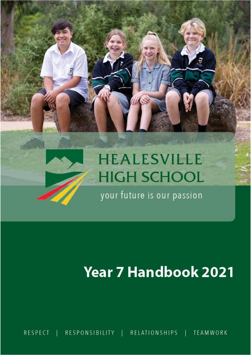# **HEALESVILLE HIGH SCHOOL**

your future is our passion

# **Year 7 Handbook 2021**

RESPONSIBILITY RELATIONSHIPS | **TEAMWORK RESPECT**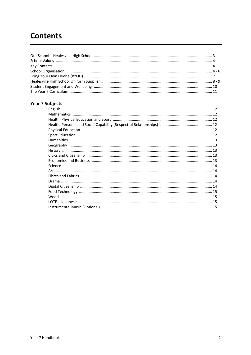# **Contents**

# **Year 7 Subjects**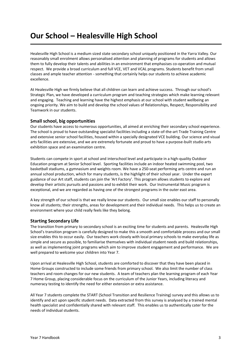# **Our School – Healesville High School**

Healesville High School is a medium sized state secondary school uniquely positioned in the Yarra Valley. Our reasonably small enrolment allows personalised attention and planning of programs for students and allows them to fully develop their talents and abilities in an environment that emphasises co-operation and mutual respect. We provide a broad curriculum and full VCE, VET and VCAL programs. Students benefit from small classes and ample teacher attention - something that certainly helps our students to achieve academic excellence.

At Healesville High we firmly believe that all children can learn and achieve success. Through our school's Strategic Plan, we have developed a curriculum program and teaching strategies which make learning relevant and engaging. Teaching and learning have the highest emphasis at our school with student wellbeing an ongoing priority. We aim to build and develop the school values of Relationships, Respect, Responsibility and Teamwork in our students.

# **Small school, big opportunities**

Our students have access to numerous opportunities, all aimed at enriching their secondary school experience. The school is proud to have outstanding specialist facilities including a state-of-the-art Trade Training Centre and extensive senior school facilities, housed within a specially designated VCE building. Our science and visual arts facilities are extensive, and we are extremely fortunate and proud to have a purpose-built studio arts exhibition space and an examination centre.

Students can compete in sport at school and interschool level and participate in a high-quality Outdoor Education program at Senior School level. Sporting facilities include an indoor heated swimming pool, two basketball stadiums, a gymnasium and weights room. We have a 250-seat performing arts centre and run an annual school production, which for many students, is the highlight of their school year. Under the expert guidance of our Art staff, students can join the 'Art Factory'. This program allows students to explore and develop their artistic pursuits and passions and to exhibit their work. Our Instrumental Music program is exceptional, and we are regarded as having one of the strongest programs in the outer east area.

A key strength of our school is that we really know our students. Our small size enables our staff to personally know all students; their strengths, areas for development and their individual needs. This helps us to create an environment where your child really feels like they belong.

# **Starting Secondary Life**

The transition from primary to secondary school is an exciting time for students and parents. Healesville High School's transition program is carefully designed to make this a smooth and comfortable process and our small size enables this to occur easily. Our teachers work closely with local primary schools to make everyday life as simple and secure as possible, to familiarise themselves with individual student needs and build relationships, as well as implementing joint programs which aim to improve student engagement and performance. We are well prepared to welcome your children into Year 7.

Upon arrival at Healesville High School, students are comforted to discover that they have been placed in Home Groups constructed to include some friends from primary school. We also limit the number of class teachers and room changes for our new students. A team of teachers plan the learning program of each Year 7 Home Group, placing considerable focus on the curriculum of the Junior Years, including literacy and numeracy testing to identify the need for either extension or extra assistance.

All Year 7 students complete the START (School Transition and Resilience Training) survey and this allows us to identify and act upon specific student needs. Data extracted from this survey is analysed by a trained mental health specialist and confidentially shared with relevant staff. This enables us to authentically cater for the needs of individual students.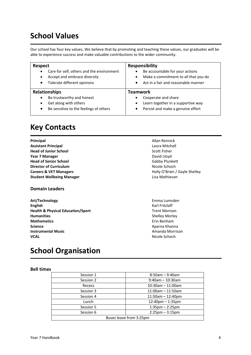# **School Values**

Our school has four key values. We believe that by promoting and teaching these values, our graduates will be able to experience success and make valuable contributions to the wider community.

| <b>Respect</b>                                                                                                                                  | <b>Responsibility</b>                                                                                                                    |  |
|-------------------------------------------------------------------------------------------------------------------------------------------------|------------------------------------------------------------------------------------------------------------------------------------------|--|
| Care for self, others and the environment<br>$\bullet$<br>Accept and embrace diversity<br>$\bullet$<br>Tolerate different opinions<br>$\bullet$ | Be accountable for your actions<br>Make a commitment to all that you do<br>$\bullet$<br>Act in a fair and reasonable manner<br>$\bullet$ |  |
|                                                                                                                                                 | Teamwork                                                                                                                                 |  |
| <b>Relationships</b>                                                                                                                            |                                                                                                                                          |  |

# **Key Contacts**

**Principal Allan Rennick**<br> **Allan Rennick**<br> **Assistant Principal Assistant Principal Assistant Principal Head of Junior School** Scott Fisher **Year 7 Manager** David Lloyd **Head of Senior School** Gabby Plunkett **Director of Curriculum Nicole Schoch Nicole Schoch Careers & VET Managers Careers & VET Managers Holly O'Brien / Gayle Shelley Student Wellbeing Manager Lisa Mathieson** 

# **Domain Leaders**

**Art/Technology** Emma Lumsden **English** Karl Fritzlaff **Health & Physical Education/Sport** Trent Morison **Humanities** Shelley Morley **Mathematics Example 2018 Example 2018 Example 2018 Example 2018 Example 2019 Example 2019 Example 2019 Science** Aparna Khanna **Instrumental Music Amanda Morrison VCAL VCAL Nicole Schoch** 

# **School Organisation**

# **Bell times**

| Session 1               | $8:50$ am - 9:40am                |  |
|-------------------------|-----------------------------------|--|
| Session 2               | $9:40$ am - 10:30am               |  |
| Recess                  | $10:30$ am - 11:00am              |  |
| Session 3               | $11:00$ am - 11:50am              |  |
| Session 4               | $11:50$ am $-12:40$ pm            |  |
| Lunch                   | $12:40$ pm $-1:35$ pm             |  |
| Session 5               | $1:35 \text{pm} - 2:25 \text{pm}$ |  |
| Session 6               | $2:25$ pm $-3:15$ pm              |  |
| Buses leave from 3:25pm |                                   |  |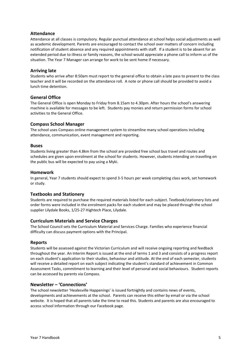# **Attendance**

Attendance at all classes is compulsory. Regular punctual attendance at school helps social adjustments as well as academic development. Parents are encouraged to contact the school over matters of concern including notification of student absence and any required appointments with staff. If a student is to be absent for an extended period due to illness or family reasons, the school would appreciate a phone call to inform us of the situation. The Year 7 Manager can arrange for work to be sent home if necessary.

# **Arriving late**

Students who arrive after 8:50am must report to the general office to obtain a late pass to present to the class teacher and it will be recorded on the attendance roll. A note or phone call should be provided to avoid a lunch time detention.

### **General Office**

The General Office is open Monday to Friday from 8.15am to 4.30pm. After hours the school's answering machine is available for messages to be left. Students pay monies and return permission forms for school activities to the General Office.

### **Compass School Manager**

The school uses Compass online management system to streamline many school operations including attendance, communication, event management and reporting.

#### **Buses**

Students living greater than 4.8km from the school are provided free school bus travel and routes and schedules are given upon enrolment at the school for students. However, students intending on travelling on the public bus will be expected to pay using a Myki.

#### **Homework**

In general, Year 7 students should expect to spend 3-5 hours per week completing class work, set homework or study.

#### **Textbooks and Stationery**

Students are required to purchase the required materials listed for each subject. Textbook/stationery lists and order forms were included in the enrolment packs for each student and may be placed through the school supplier Lilydale Books, 1/25-27 Hightech Place, Lilydale.

#### **Curriculum Materials and Service Charges**

The School Council sets the Curriculum Material and Services Charge. Families who experience financial difficulty can discuss payment options with the Principal.

#### **Reports**

Students will be assessed against the Victorian Curriculum and will receive ongoing reporting and feedback throughout the year. An Interim Report is issued at the end of terms 1 and 3 and consists of a progress report on each student's application to their studies, behaviour and attitude. At the end of each semester, students will receive a detailed report on each subject indicating the student's standard of achievement in Common Assessment Tasks, commitment to learning and their level of personal and social behaviours. Student reports can be accessed by parents via Compass.

#### **Newsletter – 'Connections'**

The school newsletter 'Healesville Happenings' is issued fortnightly and contains news of events, developments and achievements at the school. Parents can receive this either by email or via the school website. It is hoped that all parents take the time to read this. Students and parents are also encouraged to access school information through our Facebook page.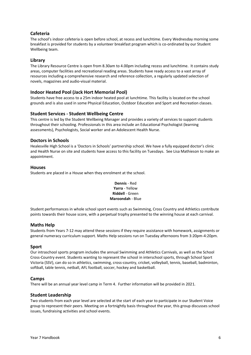# **Cafeteria**

The school's indoor cafeteria is open before school, at recess and lunchtime. Every Wednesday morning some breakfast is provided for students by a volunteer breakfast program which is co-ordinated by our Student Wellbeing team.

# **Library**

The Library Resource Centre is open from 8.30am to 4.00pm including recess and lunchtime. It contains study areas, computer facilities and recreational reading areas. Students have ready access to a vast array of resources including a comprehensive research and reference collection, a regularly updated selection of novels, magazines and audio-visual material.

# **Indoor Heated Pool (Jack Hort Memorial Pool)**

Students have free access to a 25m indoor heated pool at lunchtime. This facility is located on the school grounds and is also used in some Physical Education, Outdoor Education and Sport and Recreation classes.

# **Student Services - Student Wellbeing Centre**

This centre is led by the Student Wellbeing Manager and provides a variety of services to support students throughout their schooling. Professionals in this area include an Educational Psychologist (learning assessments), Psychologists, Social worker and an Adolescent Health Nurse.

# **Doctors in Schools**

Healesville High School is a 'Doctors in Schools' partnership school. We have a fully equipped doctor's clinic and Health Nurse on site and students have access to this facility on Tuesdays. See Lisa Mathieson to make an appointment.

### **Houses**

Students are placed in a House when they enrolment at the school.

# **Dennis** - Red **Yarra** - Yellow **Riddell** - Green **Maroondah** - Blue

Student performances in whole school sport events such as Swimming, Cross Country and Athletics contribute points towards their house score, with a perpetual trophy presented to the winning house at each carnival.

# **Maths Help**

Students from Years 7-12 may attend these sessions if they require assistance with homework, assignments or general numeracy curriculum support. Maths Help sessions run on Tuesday afternoons from 3:20pm-4:20pm.

# **Sport**

Our intraschool sports program includes the annual Swimming and Athletics Carnivals, as well as the School Cross-Country event. Students wanting to represent the school in interschool sports, through School Sport Victoria (SSV), can do so in athletics, swimming, cross-country, cricket, volleyball, tennis, baseball, badminton, softball, table tennis, netball, AFL football, soccer, hockey and basketball.

# **Camps**

There will be an annual year level camp in Term 4. Further information will be provided in 2021.

#### **Student Leadership**

Two students from each year level are selected at the start of each year to participate in our Student Voice group to represent their peers. Meeting on a fortnightly basis throughout the year, this group discusses school issues, fundraising activities and school events.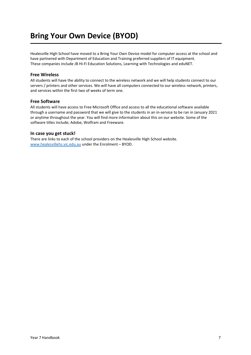# **Bring Your Own Device (BYOD)**

Healesville High School have moved to a Bring Your Own Device model for computer access at the school and have partnered with Department of Education and Training preferred suppliers of IT equipment. These companies include JB Hi-Fi Education Solutions, Learning with Technologies and eduNET.

# **Free Wireless**

All students will have the ability to connect to the wireless network and we will help students connect to our servers / printers and other services. We will have all computers connected to our wireless network, printers, and services within the first two of weeks of term one.

# **Free Software**

All students will have access to Free Microsoft Office and access to all the educational software available through a username and password that we will give to the students in an in-service to be ran in January 2021 or anytime throughout the year. You will find more information about this on our website. Some of the software titles include; Adobe, Wolfram and Freeware.

## **In case you get stuck!**

There are links to each of the school providers on the Healesville High School website. [www.healesvillehs.vic.edu.au](http://www.healesvillehs.vic.edu.au/) under the Enrolment – BYOD.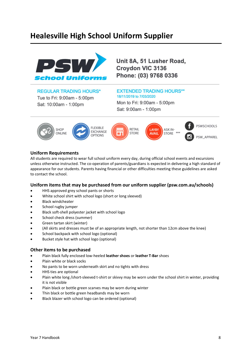# **Healesville High School Uniform Supplier**



Unit 8A, 51 Lusher Road, Croydon VIC 3136 Phone: (03) 9768 0336

# **REGULAR TRADING HOURS\***

Tue to Fri: 9:00am - 5:00pm Sat: 10:00am - 1:00pm

# **EXTENDED TRADING HOURS\*\*** 18/11/2019 to 7/03/2020

Mon to Fri: 9:00am - 5:00pm Sat: 9:00am - 1:00pm



# **Uniform Requirements**

All students are required to wear full school uniform every day, during official school events and excursions unless otherwise instructed. The co-operation of parents/guardians is expected in delivering a high standard of appearance for our students. Parents having financial or other difficulties meeting these guidelines are asked to contact the school.

# **Uniform items that may be purchased from our uniform supplier (psw.com.au/schools)**

- HHS approved grey school pants or shorts
- White school shirt with school logo (short or long sleeved)
- Black windcheater
- School rugby jumper
- Black soft-shell polyester jacket with school logo
- School check dress (summer)
- Green tartan skirt (winter)
- (All skirts and dresses must be of an appropriate length, not shorter than 12cm above the knee)
- School backpack with school logo (optional)
- Bucket style hat with school logo (optional)

# **Other items to be purchased**

- Plain black fully enclosed low-heeled **leather shoes** or **leather T-Bar** shoes
- Plain white or black socks
- No pants to be worn underneath skirt and no tights with dress
- HHS ties are optional
- Plain white long /short-sleeved t-shirt or skivvy may be worn under the school shirt in winter, providing it is not visible
- Plain black or bottle green scarves may be worn during winter
- Thin black or bottle green headbands may be worn
- Black blazer with school logo can be ordered (optional)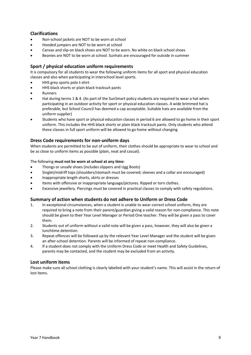# **Clarifications**

- Non-school jackets are NOT to be worn at school
- Hooded jumpers are NOT to be worn at school
- Canvas and slip-on black shoes are NOT to be worn. No white on black school shoes
- Beanies are NOT to be worn at school. Sunhats are encouraged for outside in summer

# **Sport / physical education uniform requirements**

It is compulsory for all students to wear the following uniform items for all sport and physical education classes and also when participating in interschool level sports.

- HHS grey sports polo t-shirt
- HHS black shorts or plain black tracksuit pants
- **Runners**
- Hat during terms 1 & 4. (As part of the SunSmart policy students are required to wear a hat when participating in an outdoor activity for sport or physical education classes. A wide brimmed hat is preferable, but School Council has deemed a cap acceptable. Suitable hats are available from the uniform supplier)
- Students who have sport or physical education classes in period 6 are allowed to go home in their sport uniform. This includes the HHS black shorts or plain black tracksuit pants. Only students who attend these classes in full sport uniform will be allowed to go home without changing

# **Dress Code requirements for non-uniform days**

When students are permitted to be out of uniform, their clothes should be appropriate to wear to school and be as close to uniform items as possible (plain, neat and casual).

### The following **must not be worn at school at any time:**

- Thongs or unsafe shoes (includes slippers and Ugg Boots)
- Singlet/midriff tops (shoulders/stomach must be covered; sleeves and a collar are encouraged)
- Inappropriate length shorts, skirts or dresses
- Items with offensive or inappropriate language/pictures. Ripped or torn clothes.
- Excessive jewellery. Piercings must be covered in practical classes to comply with safety regulations.

# **Summary of action when students do not adhere to Uniform or Dress Code**

- 1. In exceptional circumstances, when a student is unable to wear correct school uniform, they are required to bring a note from their parent/guardian giving a valid reason for non-compliance. This note should be given to their Year Level Manager or Period One teacher. They will be given a pass to cover them.
- 2. Students out of uniform without a valid note will be given a pass, however, they will also be given a lunchtime detention.
- 3. Repeat offences will be followed up by the relevant Year Level Manager and the student will be given an after-school detention. Parents will be informed of repeat non-compliance.
- 4. If a student does not comply with the Uniform Dress Code or meet Health and Safety Guidelines, parents may be contacted, and the student may be excluded from an activity.

# **Lost uniform items**

Please make sure all school clothing is clearly labelled with your student's name. This will assist in the return of lost items.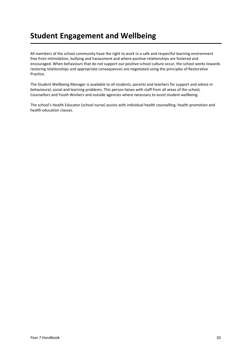# **Student Engagement and Wellbeing**

All members of the school community have the right to work in a safe and respectful learning environment free from intimidation, bullying and harassment and where positive relationships are fostered and encouraged. When behaviours that do not support our positive school culture occur, the school works towards restoring relationships and appropriate consequences are negotiated using the principles of Restorative Practice.

The Student Wellbeing Manager is available to all students, parents and teachers for support and advice in behavioural, social and learning problems. This person liaises with staff from all areas of the school, Counsellors and Youth Workers and outside agencies where necessary to assist student wellbeing.

The school's Health Educator (school nurse) assists with individual health counselling, health promotion and health education classes.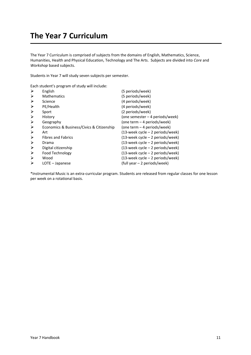# **The Year 7 Curriculum**

The Year 7 Curriculum is comprised of subjects from the domains of English, Mathematics, Science, Humanities, Health and Physical Education, Technology and The Arts. Subjects are divided into *Core* and *Workshop* based subjects.

Students in Year 7 will study seven subjects per semester.

Each student's program of study will include:

| $\blacktriangleright$ | English                                   | (5 periods/week)                    |
|-----------------------|-------------------------------------------|-------------------------------------|
| ⋗                     | <b>Mathematics</b>                        | (5 periods/week)                    |
| ⋗                     | Science                                   | (4 periods/week)                    |
| ➤                     | PE/Health                                 | (4 periods/week)                    |
| ⋗                     | Sport                                     | (2 periods/week)                    |
| ≻                     | History                                   | (one semester – 4 periods/week)     |
| $\blacktriangleright$ | Geography                                 | (one term – 4 periods/week)         |
| ≻                     | Economics & Business/Civics & Citizenship | (one term – 4 periods/week)         |
| ⋗                     | Art                                       | $(13$ -week cycle – 2 periods/week) |
| ➤                     | <b>Fibres and Fabrics</b>                 | (13-week cycle – 2 periods/week)    |
| ≻                     | Drama                                     | (13-week cycle – 2 periods/week)    |
| ➤                     | Digital citizenship                       | (13-week cycle – 2 periods/week)    |
| $\blacktriangleright$ | <b>Food Technology</b>                    | $(13$ -week cycle – 2 periods/week) |
| ≻                     | Wood                                      | (13-week cycle – 2 periods/week)    |
| ⋗                     | LOTE - Japanese                           | (full year - 2 periods/week)        |

\*Instrumental Music is an extra-curricular program. Students are released from regular classes for one lesson per week on a rotational basis.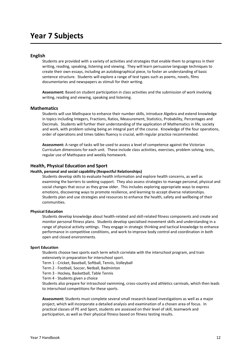# **Year 7 Subjects**

#### **English**

Students are provided with a variety of activities and strategies that enable them to progress in their writing, reading, speaking, listening and viewing. They will learn persuasive language techniques to create their own essays, including an autobiographical piece, to foster an understanding of basic sentence structure. Students will explore a range of text types such as poems, novels, films documentaries and newspapers as stimuli for their writing.

**Assessment:** Based on student participation in class activities and the submission of work involving writing, reading and viewing, speaking and listening.

#### **Mathematics**

Students will use Mathspace to enhance their number skills, introduce Algebra and extend knowledge in topics including Integers, Fractions, Ratios, Measurement, Statistics, Probability, Percentages and Decimals. Students will further their understanding of the application of Mathematics in life, society and work, with problem solving being an integral part of the course. Knowledge of the four operations, order of operations and times tables fluency is crucial, with regular practice recommended.

**Assessment:** A range of tasks will be used to assess a level of competence against the Victorian Curriculum dimensions for each unit. These include class activities, exercises, problem solving, tests, regular use of Mathspace and weekly homework.

#### **Health, Physical Education and Sport**

#### **Health, personal and social capability (Respectful Relationships)**

Students develop skills to evaluate health information and explore health concerns, as well as examining the barriers to seeking support. They also assess strategies to manage personal, physical and social changes that occur as they grow older. This includes exploring appropriate ways to express emotions, discovering ways to promote resilience, and learning to accept diverse relationships. Students plan and use strategies and resources to enhance the health, safety and wellbeing of their communities.

#### **Physical Education**

Students develop knowledge about health-related and skill-related fitness components and create and monitor personal fitness plans. Students develop specialised movement skills and understanding in a range of physical activity settings. They engage in strategic thinking and tactical knowledge to enhance performance in competitive conditions, and work to improve body control and coordination in both open and closed environments.

#### **Sport Education**

Students choose two sports each term which correlate with the interschool program, and train extensively in preparation for interschool sport.

Term 1 - Cricket, Baseball, Softball, Tennis, Volleyball

Term 2 - Football, Soccer, Netball, Badminton

Term 3 - Hockey, Basketball, Table Tennis

Term 4 - Students given a choice

Students also prepare for intraschool swimming, cross-country and athletics carnivals, which then leads to interschool competitions for these sports.

**Assessment:** Students must complete several small research-based investigations as well as a major project, which will incorporate a detailed analysis and examination of a chosen area of focus. In practical classes of PE and Sport, students are assessed on their level of skill, teamwork and participation, as well as their physical fitness based on fitness testing results.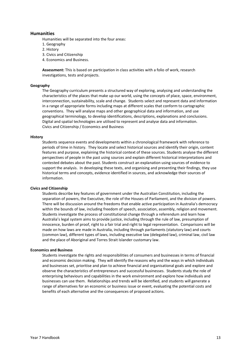#### **Humanities**

Humanities will be separated into the four areas:

- 1. Geography
- 2. History
- 3. Civics and Citizenship
- 4. Economics and Business.

**Assessment:** This is based on participation in class activities with a folio of work, research investigations, tests and projects.

#### **Geography**

The Geography curriculum presents a structured way of exploring, analysing and understanding the characteristics of the places that make up our world, using the concepts of place, space, environment, interconnection, sustainability, scale and change. Students select and represent data and information in a range of appropriate forms including maps at different scales that conform to cartographic conventions. They will analyse maps and other geographical data and information, and use geographical terminology, to develop identifications, descriptions, explanations and conclusions. Digital and spatial technologies are utilised to represent and analyse data and information. Civics and Citizenship / Economics and Business

#### **History**

Students sequence events and developments within a chronological framework with reference to periods of time in history. They locate and select historical sources and identify their origin, content features and purpose, explaining the historical context of these sources. Students analyse the different perspectives of people in the past using sources and explain different historical interpretations and contested debates about the past. Students construct an explanation using sources of evidence to support the analysis. In developing these texts, and organising and presenting their findings, they use historical terms and concepts, evidence identified in sources, and acknowledge their sources of information.

#### **Civics and Citizenship**

Students describe key features of government under the Australian Constitution, including the separation of powers, the Executive, the role of the Houses of Parliament, and the division of powers. There will be discussion around the freedoms that enable active participation in Australia's democracy within the bounds of law, including freedom of speech, association, assembly, religion and movement. Students investigate the process of constitutional change through a referendum and learn how Australia's legal system aims to provide justice, including through the rule of law, presumption of innocence, burden of proof, right to a fair trial and right to legal representation. Comparisons will be made on how laws are made in Australia, including through parliaments (statutory law) and courts (common law), different types of laws, including executive law (delegated law), criminal law, civil law and the place of Aboriginal and Torres Strait Islander customary law.

#### **Economics and Business**

Students investigate the rights and responsibilities of consumers and businesses in terms of financial and economic decision making. They will identify the reasons why and the ways in which individuals and businesses set, prioritise and plan to achieve financial and organisational goals and explore and observe the characteristics of entrepreneurs and successful businesses. Students study the role of enterprising behaviours and capabilities in the work environment and explore how individuals and businesses can use them. Relationships and trends will be identified, and students will generate a range of alternatives for an economic or business issue or event, evaluating the potential costs and benefits of each alternative and the consequences of proposed actions.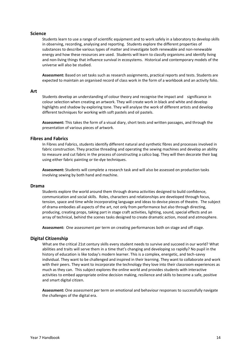### **Science**

Students learn to use a range of scientific equipment and to work safely in a laboratory to develop skills in observing, recording, analysing and reporting. Students explore the different properties of substances to describe various types of matter and investigate both renewable and non-renewable energy and how these resources are used. Students will learn to classify organisms and identify living and non-living things that influence survival in ecosystems. Historical and contemporary models of the universe will also be studied.

**Assessment:** Based on set tasks such as research assignments, practical reports and tests. Students are expected to maintain an organised record of class work in the form of a workbook and an activity folio.

#### **Art**

Students develop an understanding of colour theory and recognise the impact and significance in colour selection when creating an artwork. They will create work in black and white and develop highlights and shadow by exploring tone. They will analyse the work of different artists and develop different techniques for working with soft pastels and oil pastels.

**Assessment:** This takes the form of a visual diary, short tests and written passages, and through the presentation of various pieces of artwork.

#### **Fibres and Fabrics**

In Fibres and Fabrics, students identify different natural and synthetic fibres and processes involved in fabric construction. They practise threading and operating the sewing machines and develop an ability to measure and cut fabric in the process of constructing a calico bag. They will then decorate their bag using either fabric painting or tie-dye techniques.

**Assessment:** Students will complete a research task and will also be assessed on production tasks involving sewing by both hand and machine.

#### **Drama**

Students explore the world around them through drama activities designed to build confidence, communication and social skills. Roles, characters and relationships are developed through focus, tension, space and time while incorporating language and ideas to devise pieces of theatre. The subject of drama embodies all aspects of the art, not only from performance but also through directing, producing, creating props, taking part in stage craft activities, lighting, sound, special effects and an array of technical, behind the scenes tasks designed to create dramatic action, mood and atmosphere.

**Assessment:** One assessment per term on creating performances both on stage and off stage.

#### **Digital Citizenship**

What are the critical 21st century skills every student needs to survive and succeed in our world? What abilities and traits will serve them in a time that's changing and developing so rapidly? No pupil in the history of education is like today's modern learner. This is a complex, energetic, and tech-savvy individual. They want to be challenged and inspired in their learning. They want to collaborate and work with their peers. They want to incorporate the technology they love into their classroom experiences as much as they can. This subject explores the online world and provides students with interactive activities to embed appropriate online decision making, resilience and skills to become a safe, positive and smart digital citizen.

**Assessment:** One assessment per term on emotional and behaviour responses to successfully navigate the challenges of the digital era.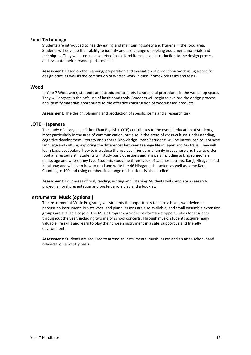### **Food Technology**

Students are introduced to healthy eating and maintaining safety and hygiene in the food area. Students will develop their ability to identify and use a range of cooking equipment, materials and techniques. They will produce a variety of basic food items, as an introduction to the design process and evaluate their personal performance.

**Assessment:** Based on the planning, preparation and evaluation of production work using a specific design brief, as well as the completion of written work in class, homework tasks and tests.

#### **Wood**

In Year 7 Woodwork, students are introduced to safety hazards and procedures in the workshop space. They will engage in the safe use of basic hand tools. Students will begin to explore the design process and identify materials appropriate to the effective construction of wood-based products.

**Assessment:** The design, planning and production of specific items and a research task.

#### **LOTE – Japanese**

The study of a Language Other Than English (LOTE) contributes to the overall education of students, most particularly in the area of communication, but also in the areas of cross-cultural understanding, cognitive development, literacy and general knowledge. Year 7 students will be introduced to Japanese language and culture, exploring the differences between teenage life in Japan and Australia. They will learn basic vocabulary, how to introduce themselves, friends and family in Japanese and how to order food at a restaurant. Students will study basic questions and answers including asking someone's name, age and where they live. Students study the three types of Japanese scripts: Kanji, Hiragana and Katakana; and will learn how to read and write the 46 Hiragana characters as well as some Kanji. Counting to 100 and using numbers in a range of situations is also studied.

**Assessment:** Four areas of oral, reading, writing and listening. Students will complete a research project, an oral presentation and poster, a role play and a booklet.

#### **Instrumental Music (optional)**

The Instrumental Music Program gives students the opportunity to learn a brass, woodwind or percussion instrument. Private vocal and piano lessons are also available, and small ensemble extension groups are available to join. The Music Program provides performance opportunities for students throughout the year, including two major school concerts. Through music, students acquire many valuable life skills and learn to play their chosen instrument in a safe, supportive and friendly environment.

**Assessment:** Students are required to attend an instrumental music lesson and an after-school band rehearsal on a weekly basis.